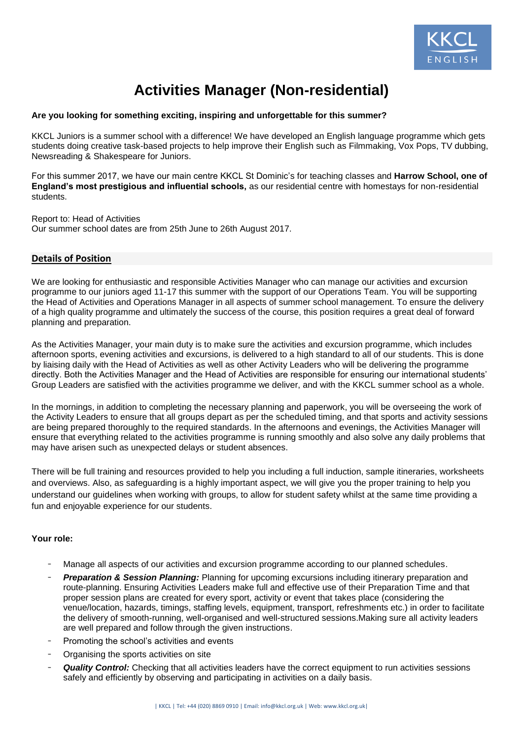

# **Activities Manager (Non-residential)**

## **Are you looking for something exciting, inspiring and unforgettable for this summer?**

KKCL Juniors is a summer school with a difference! We have developed an English language programme which gets students doing creative task-based projects to help improve their English such as Filmmaking, Vox Pops, TV dubbing, Newsreading & Shakespeare for Juniors.

For this summer 2017, we have our main centre KKCL St Dominic's for teaching classes and **Harrow School, one of England's most prestigious and influential schools,** as our residential centre with homestays for non-residential students.

Report to: Head of Activities Our summer school dates are from 25th June to 26th August 2017.

## **Details of Position**

We are looking for enthusiastic and responsible Activities Manager who can manage our activities and excursion programme to our juniors aged 11-17 this summer with the support of our Operations Team. You will be supporting the Head of Activities and Operations Manager in all aspects of summer school management. To ensure the delivery of a high quality programme and ultimately the success of the course, this position requires a great deal of forward planning and preparation.

As the Activities Manager, your main duty is to make sure the activities and excursion programme, which includes afternoon sports, evening activities and excursions, is delivered to a high standard to all of our students. This is done by liaising daily with the Head of Activities as well as other Activity Leaders who will be delivering the programme directly. Both the Activities Manager and the Head of Activities are responsible for ensuring our international students' Group Leaders are satisfied with the activities programme we deliver, and with the KKCL summer school as a whole.

In the mornings, in addition to completing the necessary planning and paperwork, you will be overseeing the work of the Activity Leaders to ensure that all groups depart as per the scheduled timing, and that sports and activity sessions are being prepared thoroughly to the required standards. In the afternoons and evenings, the Activities Manager will ensure that everything related to the activities programme is running smoothly and also solve any daily problems that may have arisen such as unexpected delays or student absences.

There will be full training and resources provided to help you including a full induction, sample itineraries, worksheets and overviews. Also, as safeguarding is a highly important aspect, we will give you the proper training to help you understand our guidelines when working with groups, to allow for student safety whilst at the same time providing a fun and enjoyable experience for our students.

## **Your role:**

- Manage all aspects of our activities and excursion programme according to our planned schedules.
- **Preparation & Session Planning:** Planning for upcoming excursions including itinerary preparation and route-planning. Ensuring Activities Leaders make full and effective use of their Preparation Time and that proper session plans are created for every sport, activity or event that takes place (considering the venue/location, hazards, timings, staffing levels, equipment, transport, refreshments etc.) in order to facilitate the delivery of smooth-running, well-organised and well-structured sessions.Making sure all activity leaders are well prepared and follow through the given instructions.
- Promoting the school's activities and events
- Organising the sports activities on site
- *Quality Control:* Checking that all activities leaders have the correct equipment to run activities sessions safely and efficiently by observing and participating in activities on a daily basis.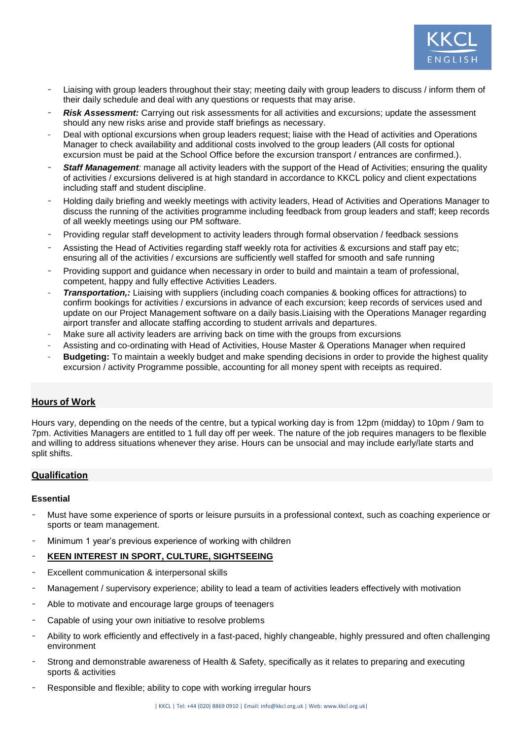

- Liaising with group leaders throughout their stay; meeting daily with group leaders to discuss / inform them of their daily schedule and deal with any questions or requests that may arise.
- **Risk Assessment:** Carrying out risk assessments for all activities and excursions; update the assessment should any new risks arise and provide staff briefings as necessary.
- Deal with optional excursions when group leaders request; liaise with the Head of activities and Operations Manager to check availability and additional costs involved to the group leaders (All costs for optional excursion must be paid at the School Office before the excursion transport / entrances are confirmed.).
- **Staff Management**: manage all activity leaders with the support of the Head of Activities; ensuring the quality of activities / excursions delivered is at high standard in accordance to KKCL policy and client expectations including staff and student discipline.
- Holding daily briefing and weekly meetings with activity leaders, Head of Activities and Operations Manager to discuss the running of the activities programme including feedback from group leaders and staff; keep records of all weekly meetings using our PM software.
- Providing regular staff development to activity leaders through formal observation / feedback sessions
- Assisting the Head of Activities regarding staff weekly rota for activities & excursions and staff pay etc; ensuring all of the activities / excursions are sufficiently well staffed for smooth and safe running
- Providing support and guidance when necessary in order to build and maintain a team of professional, competent, happy and fully effective Activities Leaders.
- *Transportation,:* Liaising with suppliers (including coach companies & booking offices for attractions) to confirm bookings for activities / excursions in advance of each excursion; keep records of services used and update on our Project Management software on a daily basis.Liaising with the Operations Manager regarding airport transfer and allocate staffing according to student arrivals and departures.
- Make sure all activity leaders are arriving back on time with the groups from excursions
- Assisting and co-ordinating with Head of Activities, House Master & Operations Manager when required
- **Budgeting:** To maintain a weekly budget and make spending decisions in order to provide the highest quality excursion / activity Programme possible, accounting for all money spent with receipts as required.

## **Hours of Work**

Hours vary, depending on the needs of the centre, but a typical working day is from 12pm (midday) to 10pm / 9am to 7pm. Activities Managers are entitled to 1 full day off per week. The nature of the job requires managers to be flexible and willing to address situations whenever they arise. Hours can be unsocial and may include early/late starts and split shifts.

## **Qualification**

#### **Essential**

- Must have some experience of sports or leisure pursuits in a professional context, such as coaching experience or sports or team management.
- Minimum 1 year's previous experience of working with children

## **KEEN INTEREST IN SPORT, CULTURE, SIGHTSEEING**

- Excellent communication & interpersonal skills
- Management / supervisory experience; ability to lead a team of activities leaders effectively with motivation
- Able to motivate and encourage large groups of teenagers
- Capable of using your own initiative to resolve problems
- Ability to work efficiently and effectively in a fast-paced, highly changeable, highly pressured and often challenging environment
- Strong and demonstrable awareness of Health & Safety, specifically as it relates to preparing and executing sports & activities
- Responsible and flexible; ability to cope with working irregular hours